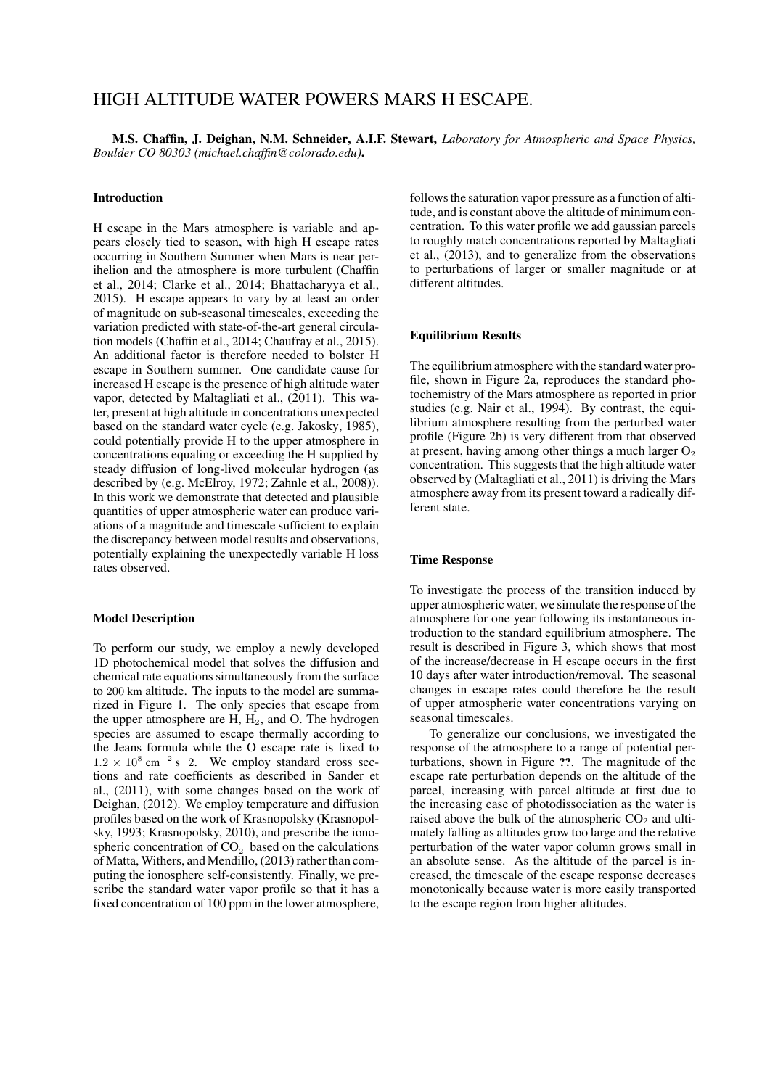# HIGH ALTITUDE WATER POWERS MARS H ESCAPE.

M.S. Chaffin, J. Deighan, N.M. Schneider, A.I.F. Stewart, *Laboratory for Atmospheric and Space Physics, Boulder CO 80303 (michael.chaffin@colorado.edu)*.

#### Introduction

H escape in the Mars atmosphere is variable and appears closely tied to season, with high H escape rates occurring in Southern Summer when Mars is near perihelion and the atmosphere is more turbulent (Chaffin et al., 2014; Clarke et al., 2014; Bhattacharyya et al., 2015). H escape appears to vary by at least an order of magnitude on sub-seasonal timescales, exceeding the variation predicted with state-of-the-art general circulation models (Chaffin et al., 2014; Chaufray et al., 2015). An additional factor is therefore needed to bolster H escape in Southern summer. One candidate cause for increased H escape is the presence of high altitude water vapor, detected by Maltagliati et al., (2011). This water, present at high altitude in concentrations unexpected based on the standard water cycle (e.g. Jakosky, 1985), could potentially provide H to the upper atmosphere in concentrations equaling or exceeding the H supplied by steady diffusion of long-lived molecular hydrogen (as described by (e.g. McElroy, 1972; Zahnle et al., 2008)). In this work we demonstrate that detected and plausible quantities of upper atmospheric water can produce variations of a magnitude and timescale sufficient to explain the discrepancy between model results and observations, potentially explaining the unexpectedly variable H loss rates observed.

## Model Description

To perform our study, we employ a newly developed 1D photochemical model that solves the diffusion and chemical rate equations simultaneously from the surface to 200 km altitude. The inputs to the model are summarized in Figure 1. The only species that escape from the upper atmosphere are  $H$ ,  $H_2$ , and O. The hydrogen species are assumed to escape thermally according to the Jeans formula while the O escape rate is fixed to  $1.2 \times 10^8$  cm<sup>-2</sup> s<sup>-</sup>2. We employ standard cross sections and rate coefficients as described in Sander et al., (2011), with some changes based on the work of Deighan, (2012). We employ temperature and diffusion profiles based on the work of Krasnopolsky (Krasnopolsky, 1993; Krasnopolsky, 2010), and prescribe the ionospheric concentration of  $CO_2^+$  based on the calculations of Matta, Withers, and Mendillo, (2013) rather than computing the ionosphere self-consistently. Finally, we prescribe the standard water vapor profile so that it has a fixed concentration of 100 ppm in the lower atmosphere, follows the saturation vapor pressure as a function of altitude, and is constant above the altitude of minimum concentration. To this water profile we add gaussian parcels to roughly match concentrations reported by Maltagliati et al., (2013), and to generalize from the observations to perturbations of larger or smaller magnitude or at different altitudes.

#### Equilibrium Results

The equilibrium atmosphere with the standard water profile, shown in Figure 2a, reproduces the standard photochemistry of the Mars atmosphere as reported in prior studies (e.g. Nair et al., 1994). By contrast, the equilibrium atmosphere resulting from the perturbed water profile (Figure 2b) is very different from that observed at present, having among other things a much larger  $O<sub>2</sub>$ concentration. This suggests that the high altitude water observed by (Maltagliati et al., 2011) is driving the Mars atmosphere away from its present toward a radically different state.

## Time Response

To investigate the process of the transition induced by upper atmospheric water, we simulate the response of the atmosphere for one year following its instantaneous introduction to the standard equilibrium atmosphere. The result is described in Figure 3, which shows that most of the increase/decrease in H escape occurs in the first 10 days after water introduction/removal. The seasonal changes in escape rates could therefore be the result of upper atmospheric water concentrations varying on seasonal timescales.

To generalize our conclusions, we investigated the response of the atmosphere to a range of potential perturbations, shown in Figure ??. The magnitude of the escape rate perturbation depends on the altitude of the parcel, increasing with parcel altitude at first due to the increasing ease of photodissociation as the water is raised above the bulk of the atmospheric  $CO<sub>2</sub>$  and ultimately falling as altitudes grow too large and the relative perturbation of the water vapor column grows small in an absolute sense. As the altitude of the parcel is increased, the timescale of the escape response decreases monotonically because water is more easily transported to the escape region from higher altitudes.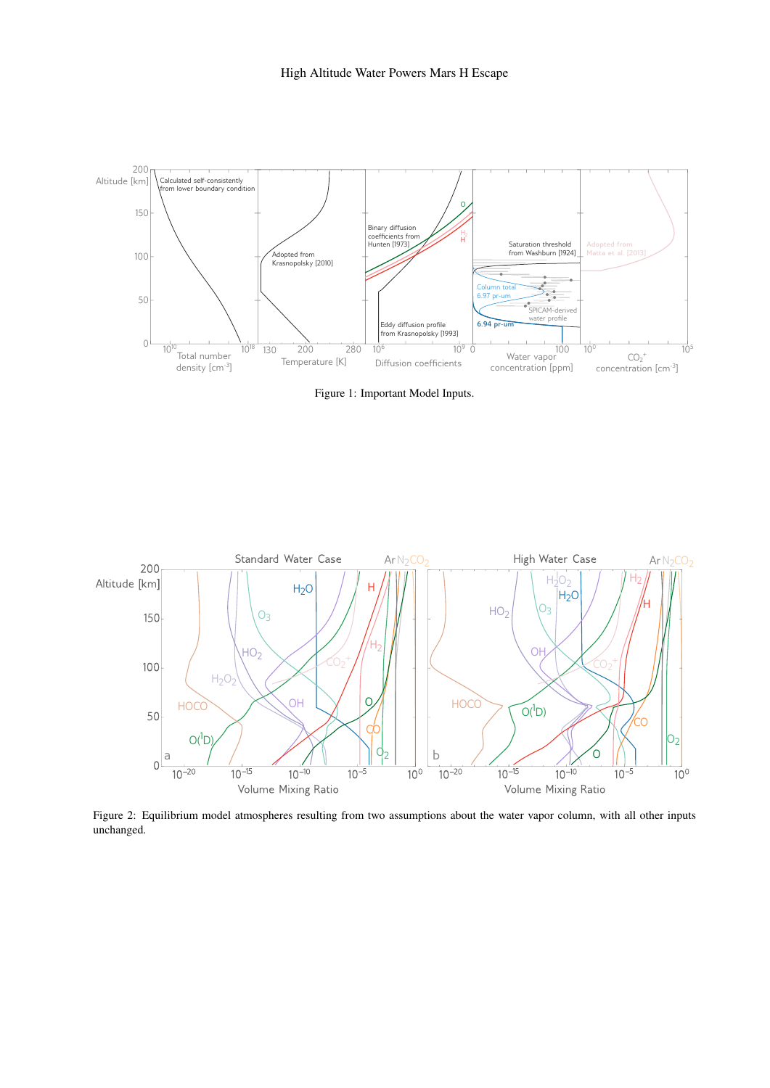

Figure 1: Important Model Inputs.



Figure 2: Equilibrium model atmospheres resulting from two assumptions about the water vapor column, with all other inputs unchanged.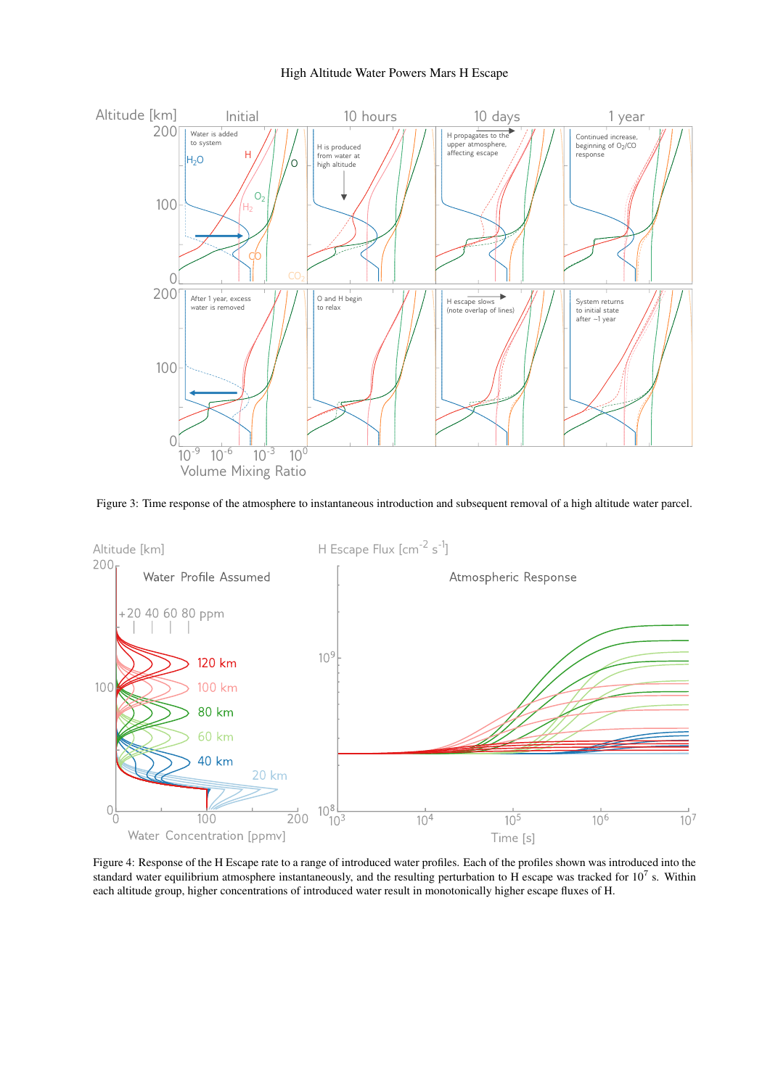

Figure 3: Time response of the atmosphere to instantaneous introduction and subsequent removal of a high altitude water parcel.



Figure 4: Response of the H Escape rate to a range of introduced water profiles. Each of the profiles shown was introduced into the standard water equilibrium atmosphere instantaneously, and the resulting perturbation to H escape was tracked for  $10^7$  s. Within each altitude group, higher concentrations of introduced water result in monotonically higher escape fluxes of H.